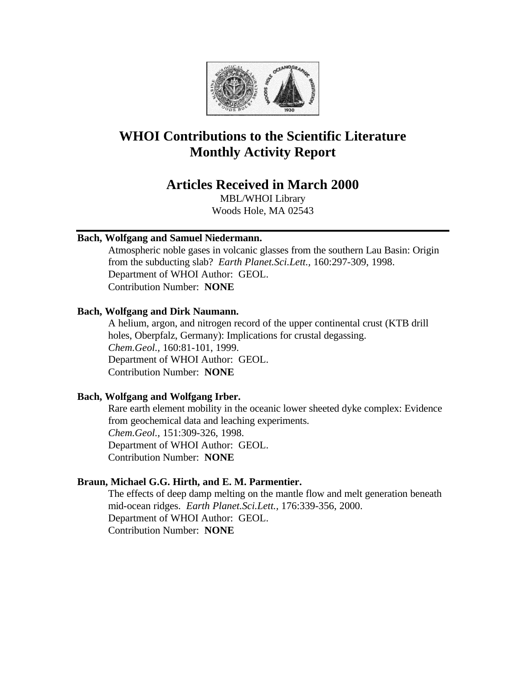

# **WHOI Contributions to the Scientific Literature Monthly Activity Report**

## **Articles Received in March 2000**

MBL/WHOI Library Woods Hole, MA 02543

## **Bach, Wolfgang and Samuel Niedermann.**

Atmospheric noble gases in volcanic glasses from the southern Lau Basin: Origin from the subducting slab? *Earth Planet.Sci.Lett.,* 160:297-309, 1998. Department of WHOI Author: GEOL. Contribution Number: **NONE**

## **Bach, Wolfgang and Dirk Naumann.**

A helium, argon, and nitrogen record of the upper continental crust (KTB drill holes, Oberpfalz, Germany): Implications for crustal degassing. *Chem.Geol.,* 160:81-101, 1999. Department of WHOI Author: GEOL. Contribution Number: **NONE**

## **Bach, Wolfgang and Wolfgang Irber.**

Rare earth element mobility in the oceanic lower sheeted dyke complex: Evidence from geochemical data and leaching experiments. *Chem.Geol.,* 151:309-326, 1998. Department of WHOI Author: GEOL. Contribution Number: **NONE**

## **Braun, Michael G.G. Hirth, and E. M. Parmentier.**

The effects of deep damp melting on the mantle flow and melt generation beneath mid-ocean ridges. *Earth Planet.Sci.Lett.,* 176:339-356, 2000. Department of WHOI Author: GEOL. Contribution Number: **NONE**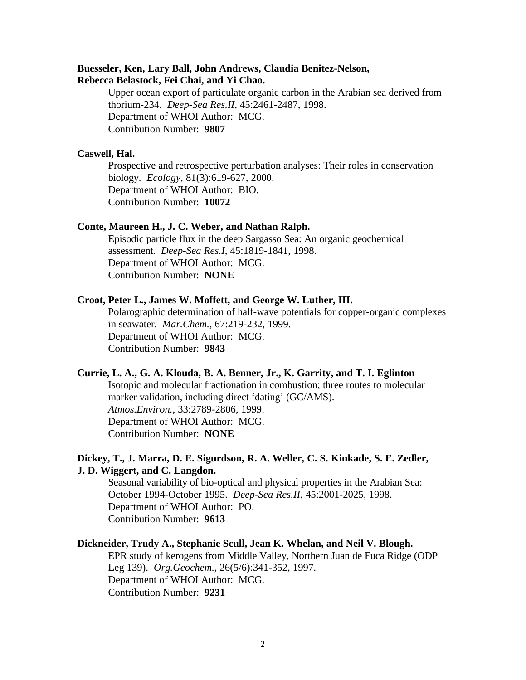## **Buesseler, Ken, Lary Ball, John Andrews, Claudia Benitez-Nelson, Rebecca Belastock, Fei Chai, and Yi Chao.**

Upper ocean export of particulate organic carbon in the Arabian sea derived from thorium-234. *Deep-Sea Res.II*, 45:2461-2487, 1998. Department of WHOI Author: MCG. Contribution Number: **9807**

#### **Caswell, Hal.**

Prospective and retrospective perturbation analyses: Their roles in conservation biology. *Ecology*, 81(3):619-627, 2000. Department of WHOI Author: BIO. Contribution Number: **10072**

## **Conte, Maureen H., J. C. Weber, and Nathan Ralph.**

Episodic particle flux in the deep Sargasso Sea: An organic geochemical assessment. *Deep-Sea Res.I*, 45:1819-1841, 1998. Department of WHOI Author: MCG. Contribution Number: **NONE**

#### **Croot, Peter L., James W. Moffett, and George W. Luther, III.**

Polarographic determination of half-wave potentials for copper-organic complexes in seawater. *Mar.Chem.,* 67:219-232, 1999. Department of WHOI Author: MCG. Contribution Number: **9843**

#### **Currie, L. A., G. A. Klouda, B. A. Benner, Jr., K. Garrity, and T. I. Eglinton**

Isotopic and molecular fractionation in combustion; three routes to molecular marker validation, including direct 'dating' (GC/AMS). *Atmos.Environ.,* 33:2789-2806, 1999. Department of WHOI Author: MCG. Contribution Number: **NONE**

## **Dickey, T., J. Marra, D. E. Sigurdson, R. A. Weller, C. S. Kinkade, S. E. Zedler, J. D. Wiggert, and C. Langdon.**

Seasonal variability of bio-optical and physical properties in the Arabian Sea: October 1994-October 1995. *Deep-Sea Res.II*, 45:2001-2025, 1998. Department of WHOI Author: PO. Contribution Number: **9613**

#### **Dickneider, Trudy A., Stephanie Scull, Jean K. Whelan, and Neil V. Blough.**

EPR study of kerogens from Middle Valley, Northern Juan de Fuca Ridge (ODP Leg 139). *Org.Geochem.,* 26(5/6):341-352, 1997. Department of WHOI Author: MCG. Contribution Number: **9231**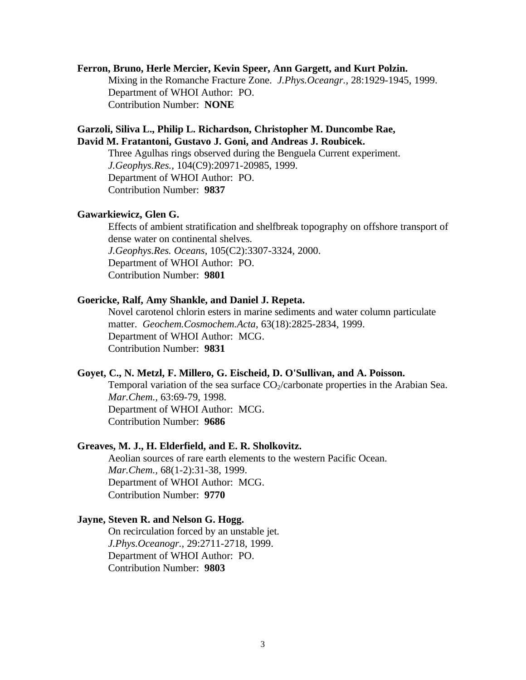#### **Ferron, Bruno, Herle Mercier, Kevin Speer, Ann Gargett, and Kurt Polzin.**

Mixing in the Romanche Fracture Zone. *J.Phys.Oceangr.,* 28:1929-1945, 1999. Department of WHOI Author: PO. Contribution Number: **NONE**

## **Garzoli, Siliva L., Philip L. Richardson, Christopher M. Duncombe Rae, David M. Fratantoni, Gustavo J. Goni, and Andreas J. Roubicek.**

Three Agulhas rings observed during the Benguela Current experiment. *J.Geophys.Res.,* 104(C9):20971-20985, 1999. Department of WHOI Author: PO. Contribution Number: **9837**

#### **Gawarkiewicz, Glen G.**

Effects of ambient stratification and shelfbreak topography on offshore transport of dense water on continental shelves. *J.Geophys.Res. Oceans*, 105(C2):3307-3324, 2000. Department of WHOI Author: PO. Contribution Number: **9801**

#### **Goericke, Ralf, Amy Shankle, and Daniel J. Repeta.**

Novel carotenol chlorin esters in marine sediments and water column particulate matter. *Geochem.Cosmochem.Acta*, 63(18):2825-2834, 1999. Department of WHOI Author: MCG. Contribution Number: **9831**

#### **Goyet, C., N. Metzl, F. Millero, G. Eischeid, D. O'Sullivan, and A. Poisson.**

Temporal variation of the sea surface  $CO_2/c$ arbonate properties in the Arabian Sea. *Mar.Chem.,* 63:69-79, 1998. Department of WHOI Author: MCG. Contribution Number: **9686**

#### **Greaves, M. J., H. Elderfield, and E. R. Sholkovitz.**

Aeolian sources of rare earth elements to the western Pacific Ocean. *Mar.Chem.,* 68(1-2):31-38, 1999. Department of WHOI Author: MCG. Contribution Number: **9770**

#### **Jayne, Steven R. and Nelson G. Hogg.**

On recirculation forced by an unstable jet. *J.Phys.Oceanogr.,* 29:2711-2718, 1999. Department of WHOI Author: PO. Contribution Number: **9803**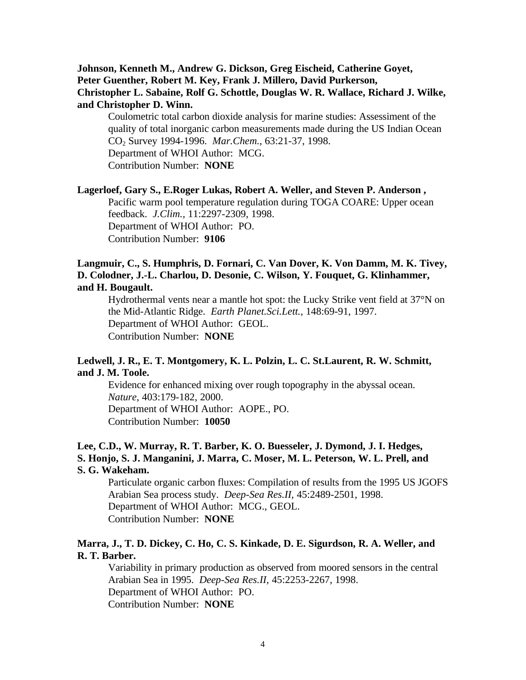## **Johnson, Kenneth M., Andrew G. Dickson, Greg Eischeid, Catherine Goyet, Peter Guenther, Robert M. Key, Frank J. Millero, David Purkerson, Christopher L. Sabaine, Rolf G. Schottle, Douglas W. R. Wallace, Richard J. Wilke, and Christopher D. Winn.**

Coulometric total carbon dioxide analysis for marine studies: Assessiment of the quality of total inorganic carbon measurements made during the US Indian Ocean CO2 Survey 1994-1996. *Mar.Chem.,* 63:21-37, 1998. Department of WHOI Author: MCG. Contribution Number: **NONE**

#### **Lagerloef, Gary S., E.Roger Lukas, Robert A. Weller, and Steven P. Anderson ,**

Pacific warm pool temperature regulation during TOGA COARE: Upper ocean feedback. *J.Clim.,* 11:2297-2309, 1998. Department of WHOI Author: PO. Contribution Number: **9106**

## **Langmuir, C., S. Humphris, D. Fornari, C. Van Dover, K. Von Damm, M. K. Tivey, D. Colodner, J.-L. Charlou, D. Desonie, C. Wilson, Y. Fouquet, G. Klinhammer, and H. Bougault.**

Hydrothermal vents near a mantle hot spot: the Lucky Strike vent field at 37°N on the Mid-Atlantic Ridge. *Earth Planet.Sci.Lett.,* 148:69-91, 1997. Department of WHOI Author: GEOL. Contribution Number: **NONE**

## **Ledwell, J. R., E. T. Montgomery, K. L. Polzin, L. C. St.Laurent, R. W. Schmitt, and J. M. Toole.**

Evidence for enhanced mixing over rough topography in the abyssal ocean. *Nature*, 403:179-182, 2000. Department of WHOI Author: AOPE., PO. Contribution Number: **10050**

## **Lee, C.D., W. Murray, R. T. Barber, K. O. Buesseler, J. Dymond, J. I. Hedges, S. Honjo, S. J. Manganini, J. Marra, C. Moser, M. L. Peterson, W. L. Prell, and S. G. Wakeham.**

Particulate organic carbon fluxes: Compilation of results from the 1995 US JGOFS Arabian Sea process study. *Deep-Sea Res.II*, 45:2489-2501, 1998. Department of WHOI Author: MCG., GEOL. Contribution Number: **NONE**

## **Marra, J., T. D. Dickey, C. Ho, C. S. Kinkade, D. E. Sigurdson, R. A. Weller, and R. T. Barber.**

Variability in primary production as observed from moored sensors in the central Arabian Sea in 1995. *Deep-Sea Res.II*, 45:2253-2267, 1998. Department of WHOI Author: PO. Contribution Number: **NONE**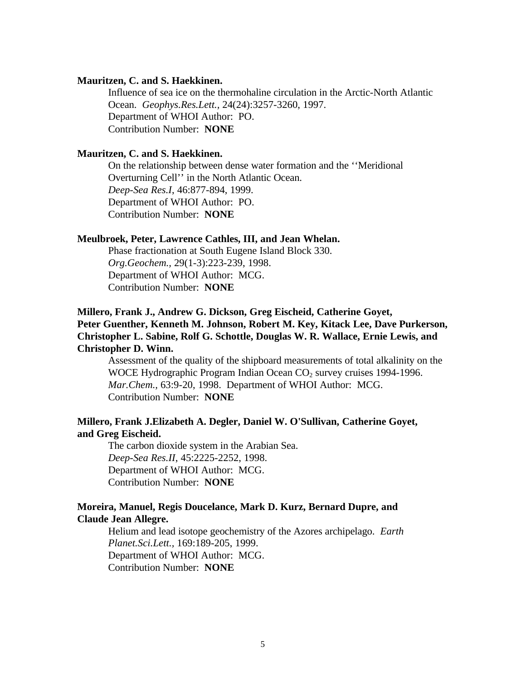## **Mauritzen, C. and S. Haekkinen.**

Influence of sea ice on the thermohaline circulation in the Arctic-North Atlantic Ocean. *Geophys.Res.Lett.,* 24(24):3257-3260, 1997. Department of WHOI Author: PO. Contribution Number: **NONE**

## **Mauritzen, C. and S. Haekkinen.**

On the relationship between dense water formation and the ''Meridional Overturning Cell'' in the North Atlantic Ocean. *Deep-Sea Res.I*, 46:877-894, 1999. Department of WHOI Author: PO. Contribution Number: **NONE**

#### **Meulbroek, Peter, Lawrence Cathles, III, and Jean Whelan.**

Phase fractionation at South Eugene Island Block 330. *Org.Geochem.,* 29(1-3):223-239, 1998. Department of WHOI Author: MCG. Contribution Number: **NONE**

## **Millero, Frank J., Andrew G. Dickson, Greg Eischeid, Catherine Goyet, Peter Guenther, Kenneth M. Johnson, Robert M. Key, Kitack Lee, Dave Purkerson, Christopher L. Sabine, Rolf G. Schottle, Douglas W. R. Wallace, Ernie Lewis, and Christopher D. Winn.**

Assessment of the quality of the shipboard measurements of total alkalinity on the WOCE Hydrographic Program Indian Ocean CO<sub>2</sub> survey cruises 1994-1996. *Mar.Chem.,* 63:9-20, 1998. Department of WHOI Author: MCG. Contribution Number: **NONE**

## **Millero, Frank J.Elizabeth A. Degler, Daniel W. O'Sullivan, Catherine Goyet, and Greg Eischeid.**

The carbon dioxide system in the Arabian Sea. *Deep-Sea Res.II*, 45:2225-2252, 1998. Department of WHOI Author: MCG. Contribution Number: **NONE**

## **Moreira, Manuel, Regis Doucelance, Mark D. Kurz, Bernard Dupre, and Claude Jean Allegre.**

Helium and lead isotope geochemistry of the Azores archipelago. *Earth Planet.Sci.Lett.,* 169:189-205, 1999. Department of WHOI Author: MCG. Contribution Number: **NONE**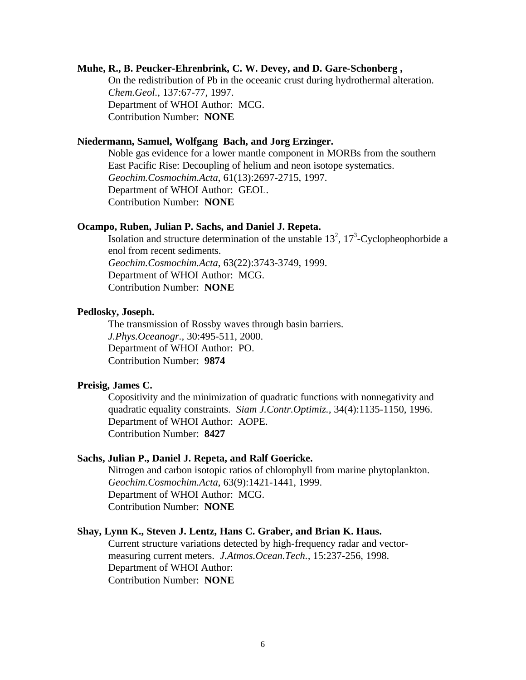### **Muhe, R., B. Peucker-Ehrenbrink, C. W. Devey, and D. Gare-Schonberg ,**

On the redistribution of Pb in the oceeanic crust during hydrothermal alteration. *Chem.Geol.,* 137:67-77, 1997. Department of WHOI Author: MCG. Contribution Number: **NONE**

## **Niedermann, Samuel, Wolfgang Bach, and Jorg Erzinger.**

Noble gas evidence for a lower mantle component in MORBs from the southern East Pacific Rise: Decoupling of helium and neon isotope systematics. *Geochim.Cosmochim.Acta*, 61(13):2697-2715, 1997. Department of WHOI Author: GEOL. Contribution Number: **NONE**

#### **Ocampo, Ruben, Julian P. Sachs, and Daniel J. Repeta.**

Isolation and structure determination of the unstable  $13^2$ ,  $17^3$ -Cyclopheophorbide a enol from recent sediments. *Geochim.Cosmochim.Acta*, 63(22):3743-3749, 1999. Department of WHOI Author: MCG. Contribution Number: **NONE**

## **Pedlosky, Joseph.**

The transmission of Rossby waves through basin barriers. *J.Phys.Oceanogr.,* 30:495-511, 2000. Department of WHOI Author: PO. Contribution Number: **9874**

#### **Preisig, James C.**

Copositivity and the minimization of quadratic functions with nonnegativity and quadratic equality constraints. *Siam J.Contr.Optimiz.,* 34(4):1135-1150, 1996. Department of WHOI Author: AOPE. Contribution Number: **8427**

#### **Sachs, Julian P., Daniel J. Repeta, and Ralf Goericke.**

Nitrogen and carbon isotopic ratios of chlorophyll from marine phytoplankton. *Geochim.Cosmochim.Acta*, 63(9):1421-1441, 1999. Department of WHOI Author: MCG. Contribution Number: **NONE**

#### **Shay, Lynn K., Steven J. Lentz, Hans C. Graber, and Brian K. Haus.**

Current structure variations detected by high-frequency radar and vectormeasuring current meters. *J.Atmos.Ocean.Tech.,* 15:237-256, 1998. Department of WHOI Author: Contribution Number: **NONE**